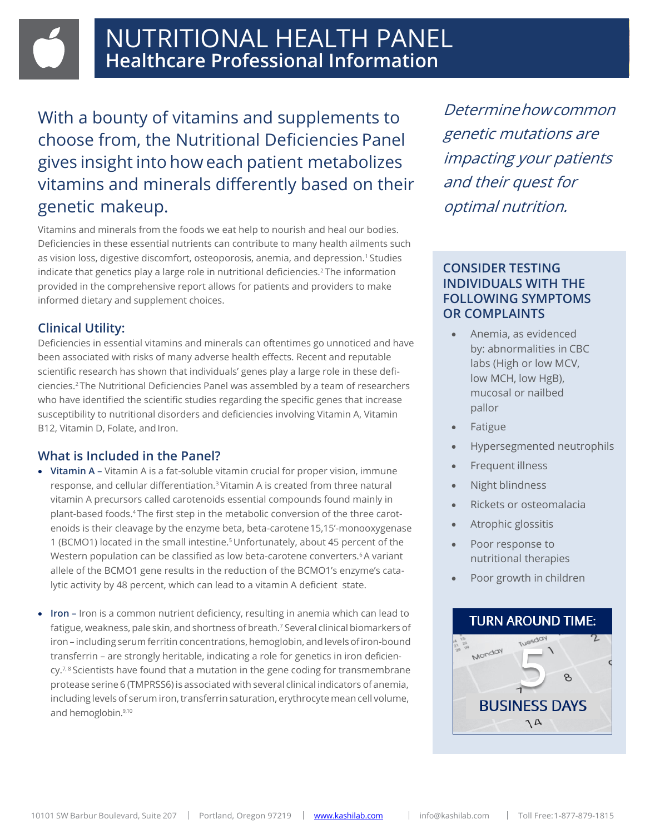With a bounty of vitamins and supplements to choose from, the Nutritional Deficiencies Panel gives insight into how each patient metabolizes vitamins and minerals differently based on their genetic makeup.

Vitamins and minerals from the foods we eat help to nourish and heal our bodies. Deficiencies in these essential nutrients can contribute to many health ailments such as vision loss, digestive discomfort, osteoporosis, anemia, and depression.1 Studies indicate that genetics play a large role in nutritional deficiencies.<sup>2</sup> The information provided in the comprehensive report allows for patients and providers to make informed dietary and supplement choices.

## **Clinical Utility:**

Deficiencies in essential vitamins and minerals can oftentimes go unnoticed and have been associated with risks of many adverse health effects. Recent and reputable scientific research has shown that individuals' genes play a large role in these deficiencies.2 The Nutritional Deficiencies Panel was assembled by a team of researchers who have identified the scientific studies regarding the specific genes that increase susceptibility to nutritional disorders and deficiencies involving Vitamin A, Vitamin B12, Vitamin D, Folate, and Iron.

# **What is Included in the Panel?**

- **Vitamin A –** Vitamin A is a fat-soluble vitamin crucial for proper vision, immune response, and cellular differentiation.3 Vitamin A is created from three natural vitamin A precursors called carotenoids essential compounds found mainly in plant-based foods.4 The first step in the metabolic conversion of the three carotenoids is their cleavage by the enzyme beta, beta-carotene15,15'-monooxygenase 1 (BCMO1) located in the small intestine.<sup>5</sup> Unfortunately, about 45 percent of the Western population can be classified as low beta-carotene converters.<sup>6</sup> A variant allele of the BCMO1 gene results in the reduction of the BCMO1's enzyme's catalytic activity by 48 percent, which can lead to a vitamin A deficient state.
- **Iron –** Iron is a common nutrient deficiency, resulting in anemia which can lead to fatigue, weakness, pale skin, and shortness of breath.<sup>7</sup> Several clinical biomarkers of iron – including serum ferritin concentrations, hemoglobin, and levels of iron-bound transferrin – are strongly heritable, indicating a role for genetics in iron deficien $cy.^{7,8}$  Scientists have found that a mutation in the gene coding for transmembrane protease serine 6 (TMPRSS6) is associated with several clinical indicators of anemia, including levels of serum iron, transferrin saturation, erythrocyte mean cell volume, and hemoglobin.<sup>9,10</sup>

Determinehowcommon genetic mutations are impacting your patients and their quest for optimal nutrition.

### **CONSIDER TESTING INDIVIDUALS WITH THE FOLLOWING SYMPTOMS OR COMPLAINTS**

- Anemia, as evidenced by: abnormalities in CBC labs (High or low MCV, low MCH, low HgB), mucosal or nailbed pallor
- Fatigue
- Hypersegmented neutrophils
- Frequent illness
- Night blindness
- Rickets or osteomalacia
- Atrophic glossitis
- Poor response to nutritional therapies
- Poor growth in children